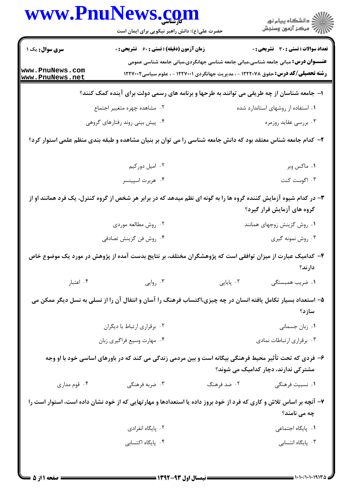|                                    | حضرت علی(ع): دانش راهبر نیکویی برای ایمان است                                                                       |                                                                                                   | ِ<br>∭ دانشڪاه پيام نور<br>∭ مرڪز آزمون وسنڊش |
|------------------------------------|---------------------------------------------------------------------------------------------------------------------|---------------------------------------------------------------------------------------------------|-----------------------------------------------|
| <b>سری سوال :</b> یک ۱             | <b>زمان آزمون (دقیقه) : تستی : 60 ٪ تشریحی : 0</b>                                                                  |                                                                                                   | <b>تعداد سوالات : تستي : 30 ٪ تشريحي : 0</b>  |
|                                    |                                                                                                                     | <b>عنــــوان درس:</b> مبانی جامعه شناسی،مبانی جامعه شناسی جهانگردی،مبانی جامعه شناسی عمومی        |                                               |
| www.PnuNews.com<br>www.PnuNews.net |                                                                                                                     | <b>رشته تحصیلی/کد درس:</b> حقوق ۱۲۲۲۰۷۸ - ، مدیریت جهانگردی ۱۲۲۷۰۰۱ - ، علوم سیاسی <b>۱۲۲۷۰۰۲</b> |                                               |
|                                    | ا- جامعه شناسان از چه طریقی می توانند به طرحها و برنامه های رسمی دولت برای آینده کمک کنند؟                          |                                                                                                   |                                               |
|                                    | ۰۲ مشاهده چهره متغییر اجتماع                                                                                        |                                                                                                   | ۰۱ استفاده از روشهای استاندارد شده            |
|                                    | ۰۴ پیش بینی روند رفتارهای گروهی                                                                                     |                                                                                                   | ۰۳ بررسی عقاید روزمره                         |
|                                    | ۲– کدام جامعه شناس معتقد بود که دانش جامعه شناسی را می توان بر بنیان مشاهده و طبقه بندی منظم علمی استوار کرد؟       |                                                                                                   |                                               |
|                                    | ۰۲ امیل دورکیم                                                                                                      |                                                                                                   | ۰۱ ماکس وبر                                   |
|                                    | ۰۴ هربرت اسپینسر                                                                                                    |                                                                                                   | ۰۳ اگوست کنت                                  |
|                                    | ۳- در کدام شیوه آزمایش کننده گروه ها را به گونه ای نظم میدهد که در برابر هر شخص از گروه کنترل، یک فرد همانند او از  |                                                                                                   | گروه های آزمایش قرار گیرد؟                    |
|                                    | ۰۲ روش مطالعه موردی                                                                                                 |                                                                                                   | ۰۱ روش گزینش زوجهای همانند                    |
|                                    | ۰۴ روش فن گزينش تصادفي                                                                                              |                                                                                                   | ۰۳ روش نمونه گیری                             |
|                                    | ۴– کدامیک عبارت از میزان توافقی است که پژوهشگران مختلف، بر نتایج بدست آمده از پژوهش در مورد یک موضوع خاص            |                                                                                                   | دارند؟                                        |
|                                    |                                                                                                                     |                                                                                                   |                                               |
| ۰۴ اعتبار                          | ۰۳ روایی                                                                                                            | ۰۲ پایایی                                                                                         | ١. ضريب همبستگى                               |
|                                    | ۵– استعداد بسیار تکامل یافته انسان در چه چیزی،اکتساب فرهنگ را آسان و انتقال آن را از نسلی به نسل دیگر ممکن می       |                                                                                                   | سازد؟                                         |
|                                    | ۰۲ برقراري ارتباط با ديگران                                                                                         |                                                                                                   | ۰۱ زبان جسمانی                                |
|                                    | ۰۴ مهارت وسيع فراگيري زبان                                                                                          |                                                                                                   | ۰۳ برقراری ارتباطات نمادی                     |
|                                    | ۶- فردی که تحت تأثیر محیط فرهنگی بیگانه است و بین مردمی زندگی می کند که در باورهای اساسی خود با او وجه              |                                                                                                   | مشترکی ندارند، دچار کدامیک می شوند؟           |
| ۰۴ قوم مداری                       | ۰۳ ضربه فرهنگی                                                                                                      | ۰۲ ضد فرهنگ                                                                                       | ۰۱ نسبیت فرهنگی                               |
|                                    | ۷- آنچه بر اساس تلاش و کاری که فرد از خود بروز داده یا استعدادها و مهارتهایی که از خود نشان داده است، استوار است را |                                                                                                   | چه می نامند؟                                  |
|                                    | ۰۲ پایگاه انفرادی                                                                                                   |                                                                                                   | ٠١. پایگاه اجتماعی                            |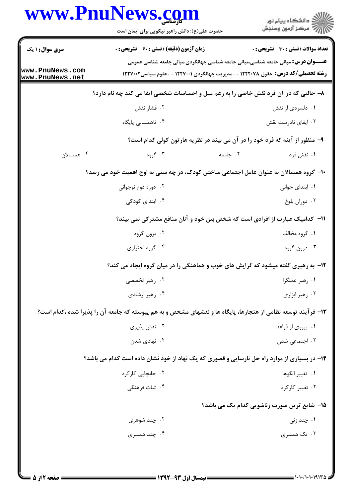|                                    | www.PnuNews.com<br>حضرت علی(ع): دانش راهبر نیکویی برای ایمان است                                              | ≦ دانشڪاه پيام نور<br>√ مرڪز آزمون وسنڊش                                                                                                                                               |                   |
|------------------------------------|---------------------------------------------------------------------------------------------------------------|----------------------------------------------------------------------------------------------------------------------------------------------------------------------------------------|-------------------|
| <b>سری سوال : ۱ یک</b>             | <b>زمان آزمون (دقیقه) : تستی : 60 ٪ تشریحی : 0</b>                                                            | <b>تعداد سوالات : تستی : 30 ٪ تشریحی : 0</b>                                                                                                                                           |                   |
| www.PnuNews.com<br>www.PnuNews.net |                                                                                                               | <b>عنـــوان درس:</b> مبانی جامعه شناسی،مبانی جامعه شناسی جهانگردی،مبانی جامعه شناسی عمومی<br><b>رشته تحصیلی/کد درس:</b> حقوق ۱۲۲۲۰۷۸ - ، مدیریت جهانگردی ۱۲۲۷۰۰۱ - ، علوم سیاسی۱۲۲۷۰۰۲ |                   |
|                                    | ۸- حالتی که در آن فرد نقش خاصی را به رغم میل و احساسات شخصی ایفا می کند چه نام دارد؟                          |                                                                                                                                                                                        |                   |
|                                    | ۰۲ فشار نقش                                                                                                   |                                                                                                                                                                                        | ۰۱ دلسردي از نقش  |
|                                    | ۰۴ ناهمسانی پایگاه                                                                                            | ۰۳ ایفای نادرست نقش                                                                                                                                                                    |                   |
|                                    |                                                                                                               | ۹- منظور از آینه که فرد خود را در آن می بیند در نظریه هارتون کولی کدام است؟                                                                                                            |                   |
| ۰۴ همسالان                         | ۰۳ گروه                                                                                                       | ۰۲ جامعه                                                                                                                                                                               | ۰۱ نقش فرد        |
|                                    | ∙ا− گروه همسالان به عنوان عامل اجتماعی ساختن کودک، در چه سنی به اوج اهمیت خود می رسد؟                         |                                                                                                                                                                                        |                   |
|                                    | ۰۲ دوره دوم نوجوانی                                                                                           |                                                                                                                                                                                        | ٠١. ابتداى جوانى  |
|                                    | ۰۴ ابتدای کودکی                                                                                               |                                                                                                                                                                                        | ۰۳ دوران بلوغ     |
|                                    | <b>۱۱</b> - کدامیک عبارت از افرادی است که شخص بین خود و آنان منافع مشترکی نمی بیند؟                           |                                                                                                                                                                                        |                   |
|                                    | ۰۲ برون گروه                                                                                                  |                                                                                                                                                                                        | ۰۱ گروه مخالف     |
|                                    | ۰۴ گروه اختیاري                                                                                               |                                                                                                                                                                                        | ۰۳ درون گروه      |
|                                    | ۱۲- به رهبری گفته میشود که گرایش های خوب و هماهنگی را در میان گروه ایجاد می کند؟                              |                                                                                                                                                                                        |                   |
|                                    | ۰۲ رهبر تخصصی                                                                                                 |                                                                                                                                                                                        | ٠١. رهبر عملگرا   |
|                                    | ۰۴ رهبر ارشادي                                                                                                |                                                                                                                                                                                        | ۰۳ رهبر ابزاري    |
|                                    | ۱۳- فرآیند توسعه نظامی از هنجارها، پایگاه ها و نقشهای مشخص و به هم پیوسته که جامعه آن را پذیرا شده ،کدام است؟ |                                                                                                                                                                                        |                   |
|                                    | ۰۲ نقش پذیری                                                                                                  |                                                                                                                                                                                        | ۰۱ پیروی از قواعد |
|                                    | ۰۴ نهادی شدن                                                                                                  |                                                                                                                                                                                        | ۰۳ اجتماعی شدن    |
|                                    | ۱۴- در بسیاری از موارد راه حل نارسایی و قصوری که یک نهاد از خود نشان داده است کدام می باشد؟                   |                                                                                                                                                                                        |                   |
|                                    | ۰۲ جابجایی کارکرد                                                                                             |                                                                                                                                                                                        | ٠١. تغيير الگوها  |
|                                    | ۰۴ ثبات فرهنگی                                                                                                |                                                                                                                                                                                        | ۰۳ تغییر کارکرد   |
|                                    |                                                                                                               | <b>۱۵</b> – شایع ترین صورت زناشویی کدام یک می باشد؟                                                                                                                                    |                   |
|                                    | ۰۲ چند شوهری                                                                                                  |                                                                                                                                                                                        | ۰۱ چند زنی        |
|                                    | ۰۴ چند همسری                                                                                                  |                                                                                                                                                                                        | ۰۳ تک همسری       |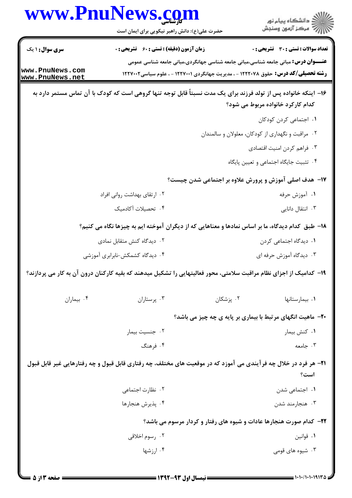| www.PnuNews.com                    | حضرت علی(ع): دانش راهبر نیکویی برای ایمان است                                                                      |                                                                                           | ڪ دانشڪاه پيا <sub>م</sub> نور<br>۾ سرڪز آزمون وسنڊش |  |
|------------------------------------|--------------------------------------------------------------------------------------------------------------------|-------------------------------------------------------------------------------------------|------------------------------------------------------|--|
| <b>سری سوال : ۱ یک</b>             | <b>زمان آزمون (دقیقه) : تستی : 60 ٪ تشریحی : 0</b>                                                                 |                                                                                           | تعداد سوالات : تستي : 30 ٪ تشريحي : 0                |  |
|                                    |                                                                                                                    | <b>عنـــوان درس:</b> مبانی جامعه شناسی،مبانی جامعه شناسی جهانگردی،مبانی جامعه شناسی عمومی |                                                      |  |
| www.PnuNews.com<br>www.PnuNews.net |                                                                                                                    | <b>رشته تحصیلی/کد درس:</b> حقوق ۱۲۲۲۰۷۸ - ، مدیریت جهانگردی ۱۲۲۷۰۰۱ - ، علوم سیاسی1۲۲۷۰۰۲ |                                                      |  |
|                                    | ۱۶– اینکه خانواده پس از تولد فرزند برای یک مدت نسبتاً قابل توجه تنها گروهی است که کودک با آن تماس مستمر دارد به    |                                                                                           | کدام کارکرد خانواده مربوط می شود؟                    |  |
|                                    |                                                                                                                    |                                                                                           | ٠١. اجتماعي كردن كودكان                              |  |
|                                    |                                                                                                                    |                                                                                           | ۰۲ مراقبت و نگهداری از کودکان، معلولان و سالمندان    |  |
|                                    |                                                                                                                    |                                                                                           | ۰۳ فراهم کردن امنیت اقتصادی                          |  |
|                                    |                                                                                                                    |                                                                                           | ۰۴ تثبیت جایگاه اجتماعی و تعیین پایگاه               |  |
|                                    |                                                                                                                    | ۱۷– هدف اصلی آموزش و پرورش علاوه بر اجتماعی شدن چیست؟                                     |                                                      |  |
| ۲. ارتقای بهداشت روانی افراد       |                                                                                                                    |                                                                                           | ۰۱ آموزش حرفه                                        |  |
| ۰۴ تحصیلات آکادمیک                 |                                                                                                                    | ۰۳ انتقال دانایی                                                                          |                                                      |  |
|                                    | ۱۸– طبق کدام دیدگاه، ما بر اساس نمادها و معناهایی که از دیگران آموخته ایم به چیزها نگاه می کنیم؟                   |                                                                                           |                                                      |  |
|                                    | ۰۲ دیدگاه کنش متقابل نمادی                                                                                         |                                                                                           | ۰۱ دیدگاه اجتماعی کردن                               |  |
| ۰۴ دیدگاه کشمکش-نابرابری آموزشی    |                                                                                                                    | ۰۳ دیدگاه آموزش حرفه ای                                                                   |                                                      |  |
|                                    | ۱۹- کدامیک از اجزای نظام مراقبت سلامتی، محور فعالیتهایی را تشکیل میدهند که بقیه کارکنان درون آن به کار می پردازند؟ |                                                                                           |                                                      |  |
| ۰۴ بيماران                         | ۰۳ پرستاران                                                                                                        | ۰۲ پزشکان                                                                                 | ۰۱ بیمارستانها                                       |  |
|                                    |                                                                                                                    | <b>۲۰</b> - ماهیت انگهای مرتبط با بیماری بر پایه ی چه چیز می باشد؟                        |                                                      |  |
|                                    | ۰۲ جنسیت بیمار                                                                                                     |                                                                                           | ٠١ كنش بيمار                                         |  |
|                                    | ۰۴ فرهنگ                                                                                                           |                                                                                           | ۰۳ جامعه                                             |  |
|                                    | ۲۱- هر فرد در خلال چه فرآیندی می آموزد که در موقعیت های مختلف، چه رفتاری قابل قبول و چه رفتارهایی غیر قابل قبول    |                                                                                           | است؟                                                 |  |
|                                    | ۰۲ نظارت اجتماعی                                                                                                   |                                                                                           | ٠١. اجتماعي شدن                                      |  |
|                                    | ۰۴ پذیرش هنجارها                                                                                                   |                                                                                           | ۰۳ هنجارمند شدن                                      |  |
|                                    |                                                                                                                    | ۲۲- کدام صورت هنجارها عادات و شیوه های رفتار و کردار مرسوم می باشد؟                       |                                                      |  |
|                                    | ۰۲ رسوم اخلاقی                                                                                                     |                                                                                           | ۰۱ قوانین                                            |  |
|                                    | ۰۴ ارزشها                                                                                                          |                                                                                           | ۰۳ شیوه های قومی                                     |  |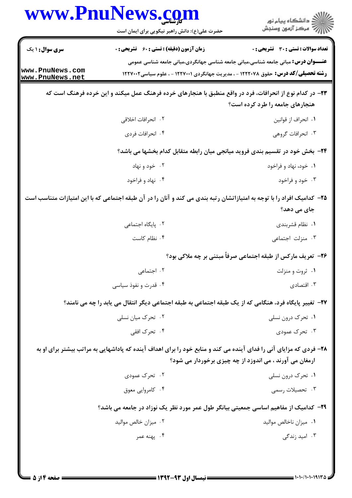| <b>زمان آزمون (دقیقه) : تستی : 60 ٪ تشریحی : 0</b><br>٢. انحرافات اخلاقى<br>۰۴ انحرافات فردي<br>۰۲ خود و نهاد<br>۰۴ نهاد و فراخود | تعداد سوالات : تستى : 30 - تشريحي : 0<br><b>عنـــوان درس:</b> مبانی جامعه شناسی،مبانی جامعه شناسی جهانگردی،مبانی جامعه شناسی عمومی<br><b>رشته تحصیلی/کد درس:</b> حقوق ۱۲۲۲۰۷۸ - ، مدیریت جهانگردی ۱۲۲۷۰۰۱ - ، علوم سیاسی1۲۲۷۰۰۲<br>۲۳– در کدام نوع از انحرافات، فرد در واقع منطبق با هنجارهای خرده فرهنگ عمل میکند و این خرده فرهنگ است که<br>هنجارهای جامعه را طرد کرده است؟<br>٠١. انحراف از قوانين<br>۰۳ انحرافات گروهی<br>۲۴- بخش خود در تقسیم بندی فروید میانجی میان رابطه متقابل کدام بخشها می باشد؟<br>۰۱ خود، نهاد و فراخود<br>۰۳ خود و فراخود |
|-----------------------------------------------------------------------------------------------------------------------------------|--------------------------------------------------------------------------------------------------------------------------------------------------------------------------------------------------------------------------------------------------------------------------------------------------------------------------------------------------------------------------------------------------------------------------------------------------------------------------------------------------------------------------------------------------------|
|                                                                                                                                   |                                                                                                                                                                                                                                                                                                                                                                                                                                                                                                                                                        |
|                                                                                                                                   |                                                                                                                                                                                                                                                                                                                                                                                                                                                                                                                                                        |
|                                                                                                                                   |                                                                                                                                                                                                                                                                                                                                                                                                                                                                                                                                                        |
|                                                                                                                                   |                                                                                                                                                                                                                                                                                                                                                                                                                                                                                                                                                        |
|                                                                                                                                   |                                                                                                                                                                                                                                                                                                                                                                                                                                                                                                                                                        |
|                                                                                                                                   |                                                                                                                                                                                                                                                                                                                                                                                                                                                                                                                                                        |
|                                                                                                                                   |                                                                                                                                                                                                                                                                                                                                                                                                                                                                                                                                                        |
|                                                                                                                                   |                                                                                                                                                                                                                                                                                                                                                                                                                                                                                                                                                        |
|                                                                                                                                   | ۲۵– کدامیک افراد را با توجه به امتیازاتشان رتبه بندی می کند و آنان را در آن طبقه اجتماعی که با این امتیازات متناسب است<br>جای می دهد؟                                                                                                                                                                                                                                                                                                                                                                                                                  |
| ٠٢ پایگاه اجتماعی                                                                                                                 | ٠١ نظام قشربندي                                                                                                                                                                                                                                                                                                                                                                                                                                                                                                                                        |
| ۰۴ نظام کاست                                                                                                                      | ۰۳ منزلت اجتماعی                                                                                                                                                                                                                                                                                                                                                                                                                                                                                                                                       |
|                                                                                                                                   | <b>۲۶- تعریف مارکس از طبقه اجتماعی صرفاً مبتنی بر چه ملاکی بود؟</b>                                                                                                                                                                                                                                                                                                                                                                                                                                                                                    |
| ۰۲ اجتما <i>عی</i>                                                                                                                | ۰۱ ثروت و منزلت                                                                                                                                                                                                                                                                                                                                                                                                                                                                                                                                        |
| ۰۴ قدرت و نفوذ سیاسی                                                                                                              | ۰۳ اقتصادی                                                                                                                                                                                                                                                                                                                                                                                                                                                                                                                                             |
|                                                                                                                                   | <b>۲۷</b> – تغییر پایگاه فرد، هنگامی که از یک طبقه اجتماعی به طبقه اجتماعی دیگر انتقال می یابد را چه می نامند؟                                                                                                                                                                                                                                                                                                                                                                                                                                         |
| ۰۲ تحرک میان نسلی                                                                                                                 | ۰۱ تحرک درون نسلی                                                                                                                                                                                                                                                                                                                                                                                                                                                                                                                                      |
| ۰۴ تحرک افقی                                                                                                                      | ۰۳ تحرک عمودی                                                                                                                                                                                                                                                                                                                                                                                                                                                                                                                                          |
|                                                                                                                                   | ۲۸- فردی که مزایای آنی را فدای آینده می کند و منابع خود را برای اهداف آینده که پاداشهایی به مراتب بیشتر برای او به<br>ارمغان می آورند ، می اندوزد از چه چیزی برخوردار می شود؟                                                                                                                                                                                                                                                                                                                                                                          |
| ۰۲ تحرک عمودی                                                                                                                     | ۰۱ تحرک درون نسلی                                                                                                                                                                                                                                                                                                                                                                                                                                                                                                                                      |
| ۰۴ کامروایی معوق                                                                                                                  | ۰۳ تحصیلات رسمی                                                                                                                                                                                                                                                                                                                                                                                                                                                                                                                                        |
|                                                                                                                                   | ۲۹– کدامیک از مفاهیم اساسی جمعیتی بیانگر طول عمر مورد نظر یک نوزاد در جامعه می باشد؟                                                                                                                                                                                                                                                                                                                                                                                                                                                                   |
| ۰۲ میزان خالص موالید                                                                                                              | ۰۱ میزان ناخالص موالید                                                                                                                                                                                                                                                                                                                                                                                                                                                                                                                                 |
| ۰۴ پهنه عمر                                                                                                                       | ۰۳ امید زندگی                                                                                                                                                                                                                                                                                                                                                                                                                                                                                                                                          |
|                                                                                                                                   |                                                                                                                                                                                                                                                                                                                                                                                                                                                                                                                                                        |